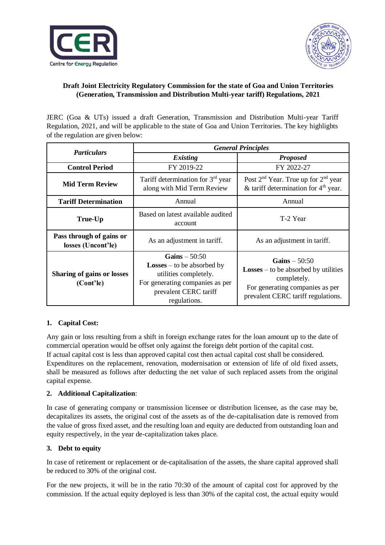



# **Draft Joint Electricity Regulatory Commission for the state of Goa and Union Territories (Generation, Transmission and Distribution Multi-year tariff) Regulations, 2021**

JERC (Goa & UTs) issued a draft Generation, Transmission and Distribution Multi-year Tariff Regulation, 2021, and will be applicable to the state of Goa and Union Territories. The key highlights of the regulation are given below:

| <b>Particulars</b>                             | <b>General Principles</b>                                                                                                                                |                                                                                                                                                           |
|------------------------------------------------|----------------------------------------------------------------------------------------------------------------------------------------------------------|-----------------------------------------------------------------------------------------------------------------------------------------------------------|
|                                                | <b>Existing</b>                                                                                                                                          | <b>Proposed</b>                                                                                                                                           |
| <b>Control Period</b>                          | FY 2019-22                                                                                                                                               | FY 2022-27                                                                                                                                                |
| <b>Mid Term Review</b>                         | Tariff determination for $3rd$ year<br>along with Mid Term Review                                                                                        | Post $2nd$ Year. True up for $2nd$ year<br>& tariff determination for $4th$ year.                                                                         |
| <b>Tariff Determination</b>                    | Annual                                                                                                                                                   | Annual                                                                                                                                                    |
| True-Up                                        | Based on latest available audited<br>account                                                                                                             | T-2 Year                                                                                                                                                  |
| Pass through of gains or<br>losses (Uncont'le) | As an adjustment in tariff.                                                                                                                              | As an adjustment in tariff.                                                                                                                               |
| <b>Sharing of gains or losses</b><br>(Cont'le) | Gains $-50:50$<br><b>Losses</b> – to be absorbed by<br>utilities completely.<br>For generating companies as per<br>prevalent CERC tariff<br>regulations. | Gains $-50:50$<br>$\textbf{Losses} -$ to be absorbed by utilities<br>completely.<br>For generating companies as per<br>prevalent CERC tariff regulations. |

# **1. Capital Cost:**

Any gain or loss resulting from a shift in foreign exchange rates for the loan amount up to the date of commercial operation would be offset only against the foreign debt portion of the capital cost. If actual capital cost is less than approved capital cost then actual capital cost shall be considered. Expenditures on the replacement, renovation, modernisation or extension of life of old fixed assets, shall be measured as follows after deducting the net value of such replaced assets from the original capital expense.

# **2. Additional Capitalization**:

In case of generating company or transmission licensee or distribution licensee, as the case may be, decapitalizes its assets, the original cost of the assets as of the de-capitalisation date is removed from the value of gross fixed asset, and the resulting loan and equity are deducted from outstanding loan and equity respectively, in the year de-capitalization takes place.

# **3. Debt to equity**

In case of retirement or replacement or de-capitalisation of the assets, the share capital approved shall be reduced to 30% of the original cost.

For the new projects, it will be in the ratio 70:30 of the amount of capital cost for approved by the commission. If the actual equity deployed is less than 30% of the capital cost, the actual equity would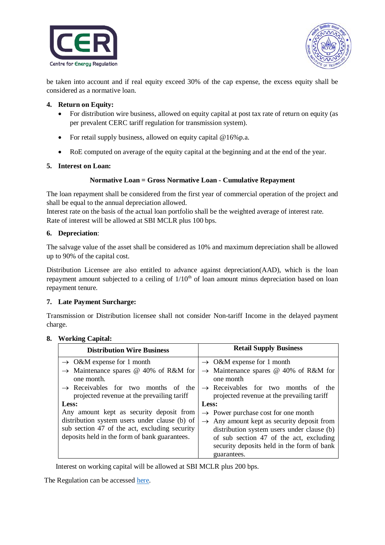



be taken into account and if real equity exceed 30% of the cap expense, the excess equity shall be considered as a normative loan.

#### **4. Return on Equity:**

- For distribution wire business, allowed on equity capital at post tax rate of return on equity (as per prevalent CERC tariff regulation for transmission system).
- For retail supply business, allowed on equity capital @16%p.a.
- RoE computed on average of the equity capital at the beginning and at the end of the year.

#### **5. Interest on Loan:**

#### **Normative Loan = Gross Normative Loan - Cumulative Repayment**

The loan repayment shall be considered from the first year of commercial operation of the project and shall be equal to the annual depreciation allowed.

Interest rate on the basis of the actual loan portfolio shall be the weighted average of interest rate. Rate of interest will be allowed at SBI MCLR plus 100 bps.

#### **6. Depreciation**:

The salvage value of the asset shall be considered as 10% and maximum depreciation shall be allowed up to 90% of the capital cost.

Distribution Licensee are also entitled to advance against depreciation(AAD), which is the loan repayment amount subjected to a ceiling of  $1/10<sup>th</sup>$  of loan amount minus depreciation based on loan repayment tenure.

### **7. Late Payment Surcharge:**

Transmission or Distribution licensee shall not consider Non-tariff Income in the delayed payment charge.

#### **8. Working Capital:**

| <b>Distribution Wire Business</b>                                                                                                               | <b>Retail Supply Business</b>                                                                                                                                                                 |  |
|-------------------------------------------------------------------------------------------------------------------------------------------------|-----------------------------------------------------------------------------------------------------------------------------------------------------------------------------------------------|--|
| $\rightarrow$ O&M expense for 1 month                                                                                                           | $\rightarrow$ O&M expense for 1 month                                                                                                                                                         |  |
| $\rightarrow$ Maintenance spares @ 40% of R&M for<br>one month.                                                                                 | $\rightarrow$ Maintenance spares @ 40% of R&M for<br>one month                                                                                                                                |  |
| $\rightarrow$ Receivables for two months of the<br>projected revenue at the prevailing tariff                                                   | $\rightarrow$ Receivables for two months<br>of the<br>projected revenue at the prevailing tariff                                                                                              |  |
| Less:                                                                                                                                           | Less:                                                                                                                                                                                         |  |
| Any amount kept as security deposit from                                                                                                        | $\rightarrow$ Power purchase cost for one month                                                                                                                                               |  |
| distribution system users under clause (b) of<br>sub section 47 of the act, excluding security<br>deposits held in the form of bank guarantees. | $\rightarrow$ Any amount kept as security deposit from<br>distribution system users under clause (b)<br>of sub section 47 of the act, excluding<br>security deposits held in the form of bank |  |
|                                                                                                                                                 | guarantees.                                                                                                                                                                                   |  |

Interest on working capital will be allowed at SBI MCLR plus 200 bps.

The Regulation can be accessed [here.](https://cer.iitk.ac.in/odf_assets/upload_files/Draft_jerc_myt_regulation.pdf)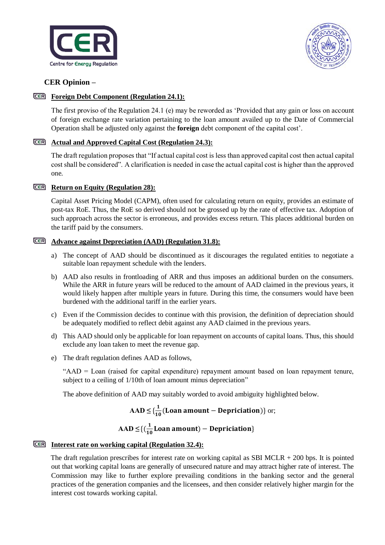



# **CER Opinion –**

## **Foreign Debt Component (Regulation 24.1):**

The first proviso of the Regulation 24.1 (e) may be reworded as 'Provided that any gain or loss on account of foreign exchange rate variation pertaining to the loan amount availed up to the Date of Commercial Operation shall be adjusted only against the **foreign** debt component of the capital cost'.

## **Actual and Approved Capital Cost (Regulation 24.3):**

The draft regulation proposes that "If actual capital cost is less than approved capital cost then actual capital cost shall be considered". A clarification is needed in case the actual capital cost is higher than the approved one.

### **Return on Equity (Regulation 28):**

Capital Asset Pricing Model (CAPM), often used for calculating return on equity, provides an estimate of post-tax RoE. Thus, the RoE so derived should not be grossed up by the rate of effective tax. Adoption of such approach across the sector is erroneous, and provides excess return. This places additional burden on the tariff paid by the consumers.

## **Advance against Depreciation (AAD) (Regulation 31.8):**

- a) The concept of AAD should be discontinued as it discourages the regulated entities to negotiate a suitable loan repayment schedule with the lenders.
- b) AAD also results in frontloading of ARR and thus imposes an additional burden on the consumers. While the ARR in future years will be reduced to the amount of AAD claimed in the previous years, it would likely happen after multiple years in future. During this time, the consumers would have been burdened with the additional tariff in the earlier years.
- c) Even if the Commission decides to continue with this provision, the definition of depreciation should be adequately modified to reflect debit against any AAD claimed in the previous years.
- d) This AAD should only be applicable for loan repayment on accounts of capital loans. Thus, this should exclude any loan taken to meet the revenue gap.
- e) The draft regulation defines AAD as follows,

"AAD = Loan (raised for capital expenditure) repayment amount based on loan repayment tenure, subject to a ceiling of  $1/10$ th of loan amount minus depreciation"

The above definition of AAD may suitably worded to avoid ambiguity highlighted below.

#### $\text{AAD} \leq \{\frac{1}{10}\}$  $\frac{1}{10}$ (Loan amount – Depriciation)} or;

#### $\bf{AAD} \leq \{(\frac{1}{16})$  $\frac{1}{10}$ Loan amount) – Depriciation}

# **Interest rate on working capital (Regulation 32.4):**

The draft regulation prescribes for interest rate on working capital as SBI MCLR + 200 bps. It is pointed out that working capital loans are generally of unsecured nature and may attract higher rate of interest. The Commission may like to further explore prevailing conditions in the banking sector and the general practices of the generation companies and the licensees, and then consider relatively higher margin for the interest cost towards working capital.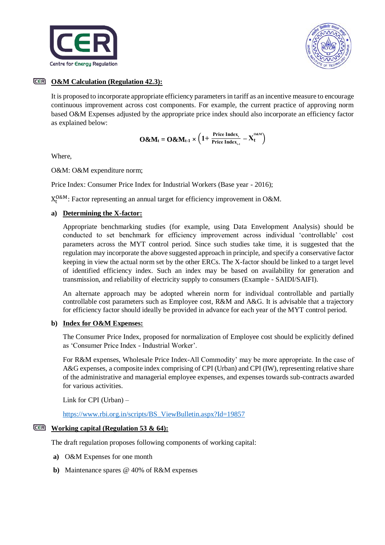



## **O&M Calculation (Regulation 42.3):**

It is proposed to incorporate appropriate efficiency parameters in tariff as an incentive measure to encourage continuous improvement across cost components. For example, the current practice of approving norm based O&M Expenses adjusted by the appropriate price index should also incorporate an efficiency factor as explained below:

$$
O\&M_t = O\&M_{t\text{-}1}\times\left(1 + \tfrac{Price\ Index_{\text{t}}}{Price\ Index_{\text{t-}1}} - X_t^{o\&M}\right)
$$

Where,

O&M: O&M expenditure norm;

Price Index: Consumer Price Index for Industrial Workers (Base year - 2016);

 $X_t^{0\&M}$ : Factor representing an annual target for efficiency improvement in O&M.

### **a) Determining the X-factor:**

Appropriate benchmarking studies (for example, using Data Envelopment Analysis) should be conducted to set benchmark for efficiency improvement across individual 'controllable' cost parameters across the MYT control period. Since such studies take time, it is suggested that the regulation may incorporate the above suggested approach in principle, and specify a conservative factor keeping in view the actual norm set by the other ERCs. The X-factor should be linked to a target level of identified efficiency index. Such an index may be based on availability for generation and transmission, and reliability of electricity supply to consumers (Example - SAIDI/SAIFI).

An alternate approach may be adopted wherein norm for individual controllable and partially controllable cost parameters such as Employee cost, R&M and A&G. It is advisable that a trajectory for efficiency factor should ideally be provided in advance for each year of the MYT control period.

#### **b) Index for O&M Expenses:**

The Consumer Price Index, proposed for normalization of Employee cost should be explicitly defined as 'Consumer Price Index - Industrial Worker'.

For R&M expenses, Wholesale Price Index-All Commodity' may be more appropriate. In the case of A&G expenses, a composite index comprising of CPI (Urban) and CPI (IW), representing relative share of the administrative and managerial employee expenses, and expenses towards sub-contracts awarded for various activities.

Link for CPI (Urban) –

[https://www.rbi.org.in/scripts/BS\\_ViewBulletin.aspx?Id=19857](https://www.rbi.org.in/scripts/BS_ViewBulletin.aspx?Id=19857)

### **Working capital (Regulation 53 & 64):**

The draft regulation proposes following components of working capital:

- **a)** O&M Expenses for one month
- **b)** Maintenance spares @ 40% of R&M expenses